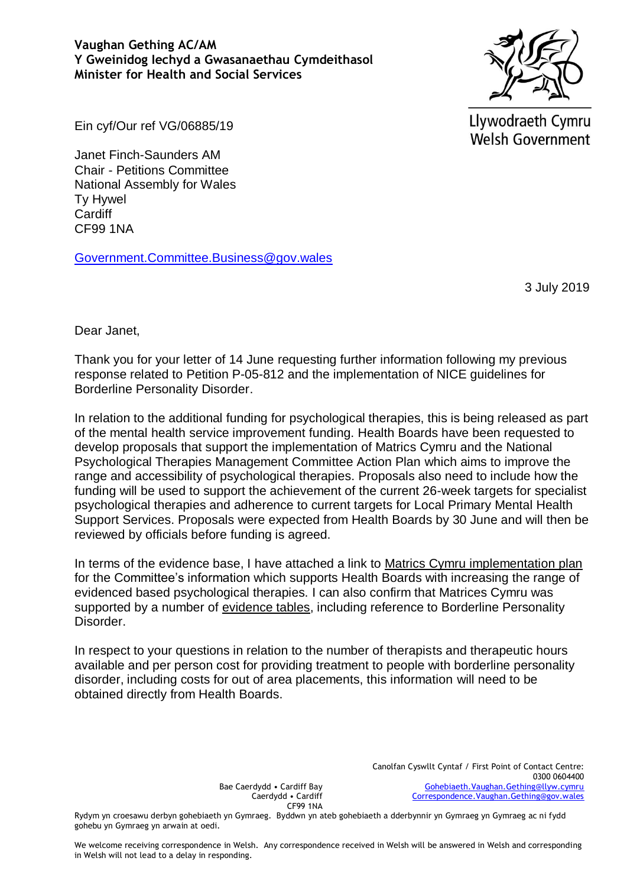**Vaughan Gething AC/AM Y Gweinidog Iechyd a Gwasanaethau Cymdeithasol Minister for Health and Social Services**



Llywodraeth Cymru **Welsh Government** 

Ein cyf/Our ref VG/06885/19

Janet Finch-Saunders AM Chair - Petitions Committee National Assembly for Wales Ty Hywel **Cardiff** CF99 1NA

[Government.Committee.Business@gov.wales](mailto:Government.Committee.Business@gov.wales)

3 July 2019

Dear Janet,

Thank you for your letter of 14 June requesting further information following my previous response related to Petition P-05-812 and the implementation of NICE guidelines for Borderline Personality Disorder.

In relation to the additional funding for psychological therapies, this is being released as part of the mental health service improvement funding. Health Boards have been requested to develop proposals that support the implementation of Matrics Cymru and the National Psychological Therapies Management Committee Action Plan which aims to improve the range and accessibility of psychological therapies. Proposals also need to include how the funding will be used to support the achievement of the current 26-week targets for specialist psychological therapies and adherence to current targets for Local Primary Mental Health Support Services. Proposals were expected from Health Boards by 30 June and will then be reviewed by officials before funding is agreed.

In terms of the evidence base, I have attached a link to Matrics Cymru [implementation plan](http://www.1000livesplus.wales.nhs.uk/sitesplus/documents/1011/2018-05-16%20National%20Plan%20for%20Delivery%20of%20Matrics%20Cymru.pdf) for the Committee's information which supports Health Boards with increasing the range of evidenced based psychological therapies. I can also confirm that Matrices Cymru was supported by a number of [evidence tables,](http://www.1000livesplus.wales.nhs.uk/sitesplus/documents/1011/evidence-tables_final.pdf) including reference to Borderline Personality Disorder.

In respect to your questions in relation to the number of therapists and therapeutic hours available and per person cost for providing treatment to people with borderline personality disorder, including costs for out of area placements, this information will need to be obtained directly from Health Boards.

> Canolfan Cyswllt Cyntaf / First Point of Contact Centre: 0300 0604400 [Gohebiaeth.Vaughan.Gething@llyw.cymru](mailto:Gohebiaeth.Vaughan.Gething@llyw.cymru) [Correspondence.Vaughan.Gething@gov.wales](mailto:Correspondence.Vaughan.Gething@gov.wales)

Bae Caerdydd • Cardiff Bay Caerdydd • Cardiff CF99 1NA

Rydym yn croesawu derbyn gohebiaeth yn Gymraeg. Byddwn yn ateb gohebiaeth a dderbynnir yn Gymraeg yn Gymraeg ac ni fydd gohebu yn Gymraeg yn arwain at oedi.

We welcome receiving correspondence in Welsh. Any correspondence received in Welsh will be answered in Welsh and corresponding in Welsh will not lead to a delay in responding.